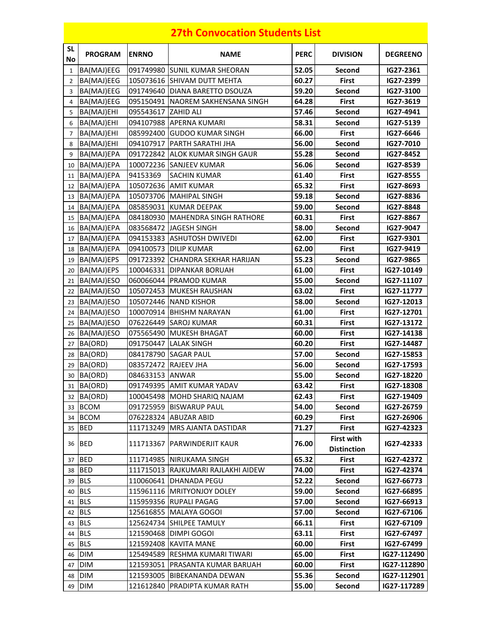## **27th Convocation Students List**

| <b>SL</b><br>No | <b>PROGRAM</b> | <b>ENRNO</b>        | <b>NAME</b>                        | <b>PERC</b> | <b>DIVISION</b>                         | <b>DEGREENO</b> |
|-----------------|----------------|---------------------|------------------------------------|-------------|-----------------------------------------|-----------------|
| 1               | BA(MAJ)EEG     |                     | 091749980 SUNIL KUMAR SHEORAN      | 52.05       | Second                                  | IG27-2361       |
| $\overline{2}$  | BA(MAJ)EEG     |                     | 105073616 SHIVAM DUTT MEHTA        | 60.27       | <b>First</b>                            | IG27-2399       |
| 3               | BA(MAJ)EEG     |                     | 091749640 DIANA BARETTO DSOUZA     | 59.20       | Second                                  | IG27-3100       |
| $\overline{4}$  | BA(MAJ)EEG     |                     | 095150491 NAOREM SAKHENSANA SINGH  | 64.28       | <b>First</b>                            | IG27-3619       |
| 5               | BA(MAJ)EHI     | 095543617 ZAHID ALI |                                    | 57.46       | Second                                  | IG27-4941       |
| 6               | BA(MAJ)EHI     |                     | 094107988 APERNA KUMARI            | 58.31       | Second                                  | IG27-5139       |
| $\overline{7}$  | BA(MAJ)EHI     |                     | 085992400 GUDOO KUMAR SINGH        | 66.00       | <b>First</b>                            | IG27-6646       |
| 8               | BA(MAJ)EHI     |                     | 094107917 PARTH SARATHI JHA        | 56.00       | Second                                  | IG27-7010       |
| 9               | BA(MAJ)EPA     |                     | 091722842 ALOK KUMAR SINGH GAUR    | 55.28       | Second                                  | IG27-8452       |
| 10              | BA(MAJ)EPA     |                     | 100072236 SANJEEV KUMAR            | 56.06       | Second                                  | IG27-8539       |
| 11              | BA(MAJ)EPA     | 94153369            | <b>SACHIN KUMAR</b>                | 61.40       | <b>First</b>                            | IG27-8555       |
| 12              | BA(MAJ)EPA     |                     | 105072636 AMIT KUMAR               | 65.32       | <b>First</b>                            | IG27-8693       |
| 13              | BA(MAJ)EPA     |                     | 105073706 MAHIPAL SINGH            | 59.18       | Second                                  | IG27-8836       |
| 14              | BA(MAJ)EPA     |                     | 085859031 KUMAR DEEPAK             | 59.00       | Second                                  | IG27-8848       |
| 15              | BA(MAJ)EPA     |                     | 084180930 MAHENDRA SINGH RATHORE   | 60.31       | <b>First</b>                            | IG27-8867       |
| 16              | BA(MAJ)EPA     |                     | 083568472 JAGESH SINGH             | 58.00       | Second                                  | IG27-9047       |
| 17              | BA(MAJ)EPA     |                     | 094153383 ASHUTOSH DWIVEDI         | 62.00       | <b>First</b>                            | IG27-9301       |
| 18              | BA(MAJ)EPA     |                     | 094100573 DILIP KUMAR              | 62.00       | <b>First</b>                            | IG27-9419       |
| 19              | BA(MAJ)EPS     |                     | 091723392 CHANDRA SEKHAR HARIJAN   | 55.23       | Second                                  | IG27-9865       |
| 20              | BA(MAJ)EPS     |                     | 100046331 DIPANKAR BORUAH          | 61.00       | <b>First</b>                            | IG27-10149      |
| 21              | BA(MAJ)ESO     |                     | 060066044 PRAMOD KUMAR             | 55.00       | Second                                  | IG27-11107      |
| 22              | BA(MAJ)ESO     |                     | 105072453 MUKESH RAUSHAN           | 63.02       | <b>First</b>                            | IG27-11777      |
| 23              | BA(MAJ)ESO     |                     | 105072446 NAND KISHOR              | 58.00       | Second                                  | IG27-12013      |
| 24              | BA(MAJ)ESO     |                     | 100070914 BHISHM NARAYAN           | 61.00       | <b>First</b>                            | IG27-12701      |
| 25              | BA(MAJ)ESO     |                     | 076226449 SAROJ KUMAR              | 60.31       | <b>First</b>                            | IG27-13172      |
| 26              | BA(MAJ)ESO     |                     | 075565490 MUKESH BHAGAT            | 60.00       | <b>First</b>                            | IG27-14138      |
| 27              | BA(ORD)        |                     | 091750447 LALAK SINGH              | 60.20       | <b>First</b>                            | IG27-14487      |
| 28              | BA(ORD)        |                     | 084178790 SAGAR PAUL               | 57.00       | Second                                  | IG27-15853      |
| 29              | BA(ORD)        |                     | 083572472 RAJEEV JHA               | 56.00       | Second                                  | IG27-17593      |
| 30              | BA(ORD)        | 084633153 ANWAR     |                                    | 55.00       | Second                                  | IG27-18220      |
|                 | 31 BA(ORD)     |                     | 091749395 AMIT KUMAR YADAV         | 63.42       | <b>First</b>                            | IG27-18308      |
|                 | 32 BA(ORD)     |                     | 100045498 MOHD SHARIQ NAJAM        | 62.43       | First                                   | IG27-19409      |
|                 | 33 BCOM        |                     | 091725959 BISWARUP PAUL            | 54.00       | Second                                  | IG27-26759      |
|                 | 34 BCOM        |                     | 076228324 ABUZAR ABID              | 60.29       | First                                   | IG27-26906      |
|                 | 35 BED         |                     | 111713249 IMRS AJANTA DASTIDAR     | 71.27       | <b>First</b>                            | IG27-42323      |
|                 | 36 BED         |                     | 111713367   PARWINDERJIT KAUR      | 76.00       | <b>First with</b><br><b>Distinction</b> | IG27-42333      |
|                 | 37 BED         |                     | 111714985 NIRUKAMA SINGH           | 65.32       | <b>First</b>                            | IG27-42372      |
|                 | 38 BED         |                     | 111715013 RAJKUMARI RAJLAKHI AIDEW | 74.00       | <b>First</b>                            | IG27-42374      |
|                 | 39 BLS         |                     | 110060641 DHANADA PEGU             | 52.22       | Second                                  | IG27-66773      |
|                 | 40 BLS         |                     | 115961116   MRITYONJOY DOLEY       | 59.00       | Second                                  | IG27-66895      |
| 41              | <b>BLS</b>     |                     | 115959356 RUPALI PAGAG             | 57.00       | Second                                  | IG27-66913      |
| 42              | <b>IBLS</b>    |                     | 125616855 MALAYA GOGOI             | 57.00       | Second                                  | IG27-67106      |
|                 | 43 BLS         |                     | 125624734 SHILPEE TAMULY           | 66.11       | First                                   | IG27-67109      |
|                 | 44 BLS         |                     | 121590468 DIMPI GOGOI              | 63.11       | First                                   | IG27-67497      |
|                 | 45 BLS         |                     | 121592408 KAVITA MANE              | 60.00       | <b>First</b>                            | IG27-67499      |
| 46              | <b>DIM</b>     |                     | 125494589 RESHMA KUMARI TIWARI     | 65.00       | First                                   | IG27-112490     |
| 47              | DIM            |                     | 121593051 PRASANTA KUMAR BARUAH    | 60.00       | First                                   | IG27-112890     |
|                 | 48 DIM         |                     | 121593005 BIBEKANANDA DEWAN        | 55.36       | Second                                  | IG27-112901     |
|                 | 49 DIM         |                     | 121612840 PRADIPTA KUMAR RATH      | 55.00       | Second                                  | IG27-117289     |
|                 |                |                     |                                    |             |                                         |                 |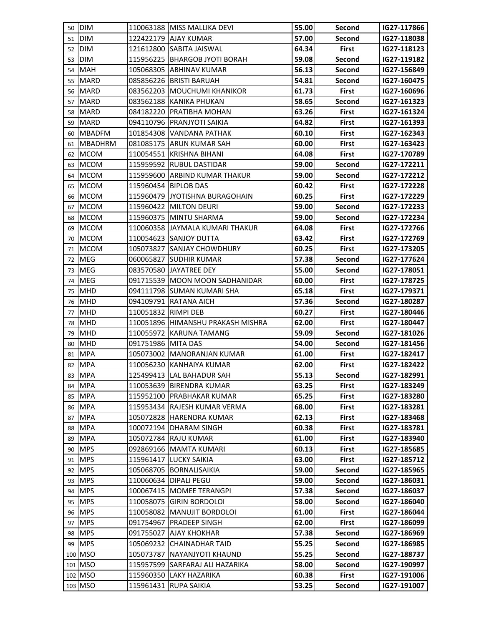|    | 50 DIM         |                     | 110063188 IMISS MALLIKA DEVI      | 55.00 | Second       | IG27-117866 |
|----|----------------|---------------------|-----------------------------------|-------|--------------|-------------|
|    | 51 DIM         |                     | 122422179 AJAY KUMAR              | 57.00 | Second       | IG27-118038 |
| 52 | <b>DIM</b>     |                     | 121612800 SABITA JAISWAL          | 64.34 | First        | IG27-118123 |
| 53 | <b>DIM</b>     |                     | 115956225 BHARGOB JYOTI BORAH     | 59.08 | Second       | IG27-119182 |
| 54 | MAH            |                     | 105068305 ABHINAV KUMAR           | 56.13 | Second       | IG27-156849 |
| 55 | <b>MARD</b>    |                     | 085856226 BRISTI BARUAH           | 54.81 | Second       | IG27-160475 |
|    | 56 MARD        |                     | 083562203 MOUCHUMI KHANIKOR       | 61.73 | First        | IG27-160696 |
| 57 | <b>MARD</b>    |                     | 083562188 KANIKA PHUKAN           | 58.65 | Second       | IG27-161323 |
| 58 | <b>MARD</b>    |                     | 084182220 PRATIBHA MOHAN          | 63.26 | <b>First</b> | IG27-161324 |
| 59 | <b>MARD</b>    |                     | 094110796 PRANJYOTI SAIKIA        | 64.82 | <b>First</b> | IG27-161393 |
|    | 60 MBADFM      |                     | 101854308 VANDANA PATHAK          | 60.10 | <b>First</b> | IG27-162343 |
| 61 | <b>MBADHRM</b> |                     | 081085175 ARUN KUMAR SAH          | 60.00 | <b>First</b> | IG27-163423 |
| 62 | <b>MCOM</b>    |                     | 110054551  KRISHNA BIHANI         | 64.08 | <b>First</b> | IG27-170789 |
| 63 | <b>MCOM</b>    |                     | 115959592 RUBUL DASTIDAR          | 59.00 | Second       | IG27-172211 |
| 64 | <b>IMCOM</b>   |                     | 115959600 ARBIND KUMAR THAKUR     | 59.00 | Second       | IG27-172212 |
| 65 | <b>MCOM</b>    |                     | 115960454 BIPLOB DAS              | 60.42 | <b>First</b> | IG27-172228 |
| 66 | <b>MCOM</b>    |                     | 115960479 JYOTISHNA BURAGOHAIN    | 60.25 | First        | IG27-172229 |
| 67 | <b>MCOM</b>    |                     | 115960422 MILTON DEURI            | 59.00 | Second       | IG27-172233 |
| 68 | <b>IMCOM</b>   |                     | 115960375 MINTU SHARMA            | 59.00 | Second       | IG27-172234 |
|    | 69 MCOM        |                     | 110060358 JAYMALA KUMARI THAKUR   | 64.08 | <b>First</b> | IG27-172766 |
| 70 | <b>IMCOM</b>   |                     | 110054623 SANJOY DUTTA            | 63.42 | <b>First</b> | IG27-172769 |
| 71 | <b>MCOM</b>    |                     | 105073827 SANJAY CHOWDHURY        | 60.25 | First        | IG27-173205 |
| 72 | <b>MEG</b>     |                     | 060065827 SUDHIR KUMAR            | 57.38 | Second       | IG27-177624 |
| 73 | <b>MEG</b>     |                     | 083570580 JAYATREE DEY            | 55.00 | Second       | IG27-178051 |
| 74 | <b>MEG</b>     |                     | 091715539 MOON MOON SADHANIDAR    | 60.00 | <b>First</b> | IG27-178725 |
| 75 | <b>MHD</b>     |                     | 094111798 SUMAN KUMARI SHA        | 65.18 | First        | IG27-179371 |
| 76 | <b>MHD</b>     |                     | 094109791 RATANA AICH             | 57.36 | Second       | IG27-180287 |
| 77 | <b>MHD</b>     | 110051832 RIMPI DEB |                                   | 60.27 | First        | IG27-180446 |
|    | 78 MHD         |                     | 110051896 HIMANSHU PRAKASH MISHRA | 62.00 | First        | IG27-180447 |
| 79 | <b>MHD</b>     |                     | 110055972 KARUNA TAMANG           | 59.09 | Second       | IG27-181026 |
| 80 | <b>MHD</b>     | 091751986 MITA DAS  |                                   | 54.00 | Second       | IG27-181456 |
| 81 | <b>MPA</b>     |                     | 105073002 MANORANJAN KUMAR        | 61.00 | <b>First</b> | IG27-182417 |
|    | 82 MPA         |                     | 110056230 KANHAIYA KUMAR          | 62.00 | First        | IG27-182422 |
|    | 83 MPA         |                     | 125499413 LAL BAHADUR SAH         | 55.13 | Second       | IG27-182991 |
|    | 84 MPA         |                     | 110053639 BIRENDRA KUMAR          | 63.25 | First        | IG27-183249 |
| 85 | <b>MPA</b>     |                     | 115952100 PRABHAKAR KUMAR         | 65.25 | <b>First</b> | IG27-183280 |
| 86 | <b>MPA</b>     |                     | 115953434 RAJESH KUMAR VERMA      | 68.00 | First        | IG27-183281 |
| 87 | <b>MPA</b>     |                     | 105072828 HARENDRA KUMAR          | 62.13 | First        | IG27-183468 |
| 88 | <b>MPA</b>     |                     | 100072194 DHARAM SINGH            | 60.38 | First        | IG27-183781 |
| 89 | <b>MPA</b>     |                     | 105072784 RAJU KUMAR              | 61.00 | First        | IG27-183940 |
| 90 | <b>MPS</b>     |                     | 092869166 MAMTA KUMARI            | 60.13 | <b>First</b> | IG27-185685 |
| 91 | <b>MPS</b>     |                     | 115961417 LUCKY SAIKIA            | 63.00 | First        | IG27-185712 |
|    | 92 MPS         |                     | 105068705 BORNALISAIKIA           | 59.00 | Second       | IG27-185965 |
|    | 93 MPS         |                     | 110060634 DIPALI PEGU             | 59.00 | Second       | IG27-186031 |
| 94 | <b>MPS</b>     |                     | 100067415 MOMEE TERANGPI          | 57.38 | Second       | IG27-186037 |
| 95 | <b>MPS</b>     |                     | 110058075 GIRIN BORDOLOI          | 58.00 | Second       | IG27-186040 |
|    | 96 MPS         |                     | 110058082 MANUJIT BORDOLOI        | 61.00 | First        | IG27-186044 |
| 97 | <b>MPS</b>     |                     | 091754967 PRADEEP SINGH           | 62.00 | First        | IG27-186099 |
|    | 98 MPS         |                     | 091755027 AJAY KHOKHAR            | 57.38 | Second       | IG27-186969 |
|    | 99 MPS         |                     | 105069232 CHAINADHAR TAID         | 55.25 | Second       | IG27-186985 |
|    | 100 MSO        |                     | 105073787 NAYANJYOTI KHAUND       | 55.25 | Second       | IG27-188737 |
|    | 101 MSO        |                     | 115957599 SARFARAJ ALI HAZARIKA   | 58.00 | Second       | IG27-190997 |
|    | 102 MSO        |                     | 115960350 LAKY HAZARIKA           | 60.38 | First        | IG27-191006 |
|    | 103 MSO        |                     | 115961431 RUPA SAIKIA             | 53.25 | Second       | IG27-191007 |
|    |                |                     |                                   |       |              |             |